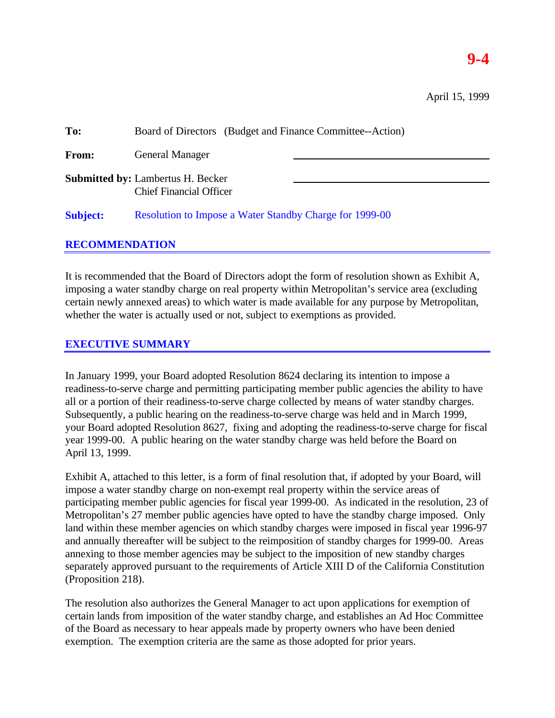# **9-4**

| To:             | Board of Directors (Budget and Finance Committee--Action)                  |  |
|-----------------|----------------------------------------------------------------------------|--|
| From:           | <b>General Manager</b>                                                     |  |
|                 | <b>Submitted by: Lambertus H. Becker</b><br><b>Chief Financial Officer</b> |  |
| <b>Subject:</b> | Resolution to Impose a Water Standby Charge for 1999-00                    |  |

# **RECOMMENDATION**

It is recommended that the Board of Directors adopt the form of resolution shown as Exhibit A, imposing a water standby charge on real property within Metropolitan's service area (excluding certain newly annexed areas) to which water is made available for any purpose by Metropolitan, whether the water is actually used or not, subject to exemptions as provided.

# **EXECUTIVE SUMMARY**

In January 1999, your Board adopted Resolution 8624 declaring its intention to impose a readiness-to-serve charge and permitting participating member public agencies the ability to have all or a portion of their readiness-to-serve charge collected by means of water standby charges. Subsequently, a public hearing on the readiness-to-serve charge was held and in March 1999, your Board adopted Resolution 8627, fixing and adopting the readiness-to-serve charge for fiscal year 1999-00. A public hearing on the water standby charge was held before the Board on April 13, 1999.

Exhibit A, attached to this letter, is a form of final resolution that, if adopted by your Board, will impose a water standby charge on non-exempt real property within the service areas of participating member public agencies for fiscal year 1999-00. As indicated in the resolution, 23 of Metropolitan's 27 member public agencies have opted to have the standby charge imposed. Only land within these member agencies on which standby charges were imposed in fiscal year 1996-97 and annually thereafter will be subject to the reimposition of standby charges for 1999-00. Areas annexing to those member agencies may be subject to the imposition of new standby charges separately approved pursuant to the requirements of Article XIII D of the California Constitution (Proposition 218).

The resolution also authorizes the General Manager to act upon applications for exemption of certain lands from imposition of the water standby charge, and establishes an Ad Hoc Committee of the Board as necessary to hear appeals made by property owners who have been denied exemption. The exemption criteria are the same as those adopted for prior years.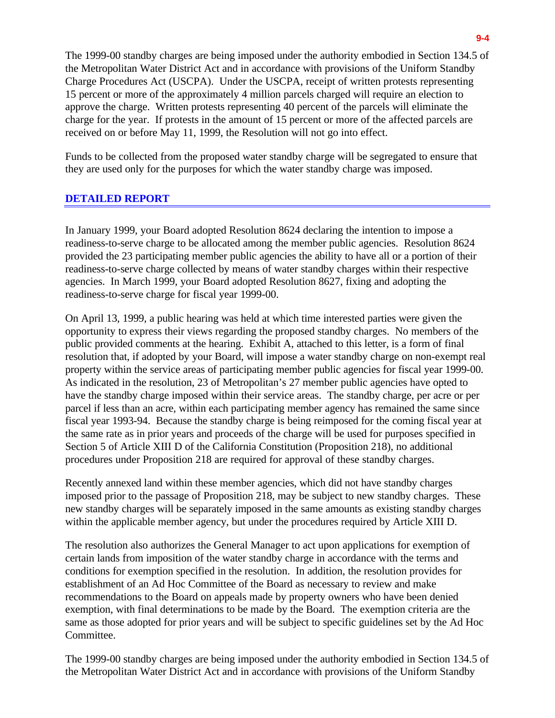The 1999-00 standby charges are being imposed under the authority embodied in Section 134.5 of the Metropolitan Water District Act and in accordance with provisions of the Uniform Standby Charge Procedures Act (USCPA). Under the USCPA, receipt of written protests representing 15 percent or more of the approximately 4 million parcels charged will require an election to approve the charge. Written protests representing 40 percent of the parcels will eliminate the charge for the year. If protests in the amount of 15 percent or more of the affected parcels are received on or before May 11, 1999, the Resolution will not go into effect.

Funds to be collected from the proposed water standby charge will be segregated to ensure that they are used only for the purposes for which the water standby charge was imposed.

# **DETAILED REPORT**

In January 1999, your Board adopted Resolution 8624 declaring the intention to impose a readiness-to-serve charge to be allocated among the member public agencies. Resolution 8624 provided the 23 participating member public agencies the ability to have all or a portion of their readiness-to-serve charge collected by means of water standby charges within their respective agencies. In March 1999, your Board adopted Resolution 8627, fixing and adopting the readiness-to-serve charge for fiscal year 1999-00.

On April 13, 1999, a public hearing was held at which time interested parties were given the opportunity to express their views regarding the proposed standby charges. No members of the public provided comments at the hearing. Exhibit A, attached to this letter, is a form of final resolution that, if adopted by your Board, will impose a water standby charge on non-exempt real property within the service areas of participating member public agencies for fiscal year 1999-00. As indicated in the resolution, 23 of Metropolitan's 27 member public agencies have opted to have the standby charge imposed within their service areas. The standby charge, per acre or per parcel if less than an acre, within each participating member agency has remained the same since fiscal year 1993-94. Because the standby charge is being reimposed for the coming fiscal year at the same rate as in prior years and proceeds of the charge will be used for purposes specified in Section 5 of Article XIII D of the California Constitution (Proposition 218), no additional procedures under Proposition 218 are required for approval of these standby charges.

Recently annexed land within these member agencies, which did not have standby charges imposed prior to the passage of Proposition 218, may be subject to new standby charges. These new standby charges will be separately imposed in the same amounts as existing standby charges within the applicable member agency, but under the procedures required by Article XIII D.

The resolution also authorizes the General Manager to act upon applications for exemption of certain lands from imposition of the water standby charge in accordance with the terms and conditions for exemption specified in the resolution. In addition, the resolution provides for establishment of an Ad Hoc Committee of the Board as necessary to review and make recommendations to the Board on appeals made by property owners who have been denied exemption, with final determinations to be made by the Board. The exemption criteria are the same as those adopted for prior years and will be subject to specific guidelines set by the Ad Hoc Committee.

The 1999-00 standby charges are being imposed under the authority embodied in Section 134.5 of the Metropolitan Water District Act and in accordance with provisions of the Uniform Standby

#### **9-4**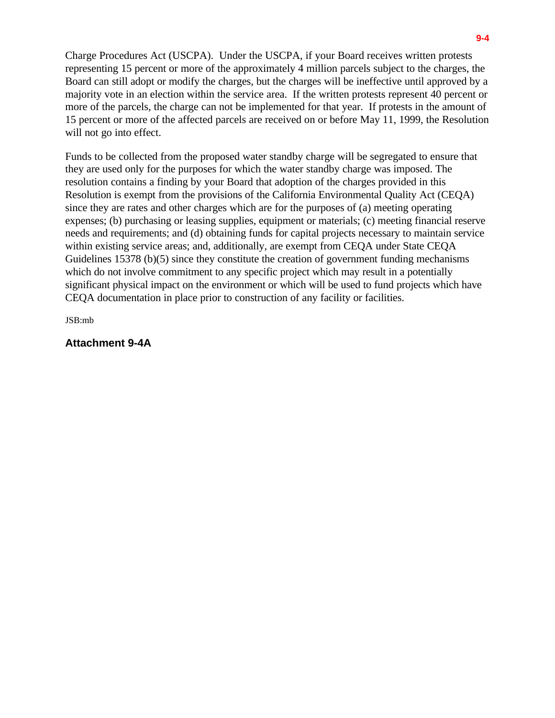Charge Procedures Act (USCPA). Under the USCPA, if your Board receives written protests representing 15 percent or more of the approximately 4 million parcels subject to the charges, the Board can still adopt or modify the charges, but the charges will be ineffective until approved by a majority vote in an election within the service area. If the written protests represent 40 percent or more of the parcels, the charge can not be implemented for that year. If protests in the amount of 15 percent or more of the affected parcels are received on or before May 11, 1999, the Resolution will not go into effect.

Funds to be collected from the proposed water standby charge will be segregated to ensure that they are used only for the purposes for which the water standby charge was imposed. The resolution contains a finding by your Board that adoption of the charges provided in this Resolution is exempt from the provisions of the California Environmental Quality Act (CEQA) since they are rates and other charges which are for the purposes of (a) meeting operating expenses; (b) purchasing or leasing supplies, equipment or materials; (c) meeting financial reserve needs and requirements; and (d) obtaining funds for capital projects necessary to maintain service within existing service areas; and, additionally, are exempt from CEQA under State CEQA Guidelines 15378 (b)(5) since they constitute the creation of government funding mechanisms which do not involve commitment to any specific project which may result in a potentially significant physical impact on the environment or which will be used to fund projects which have CEQA documentation in place prior to construction of any facility or facilities.

JSB:mb

#### **Attachment 9-4A**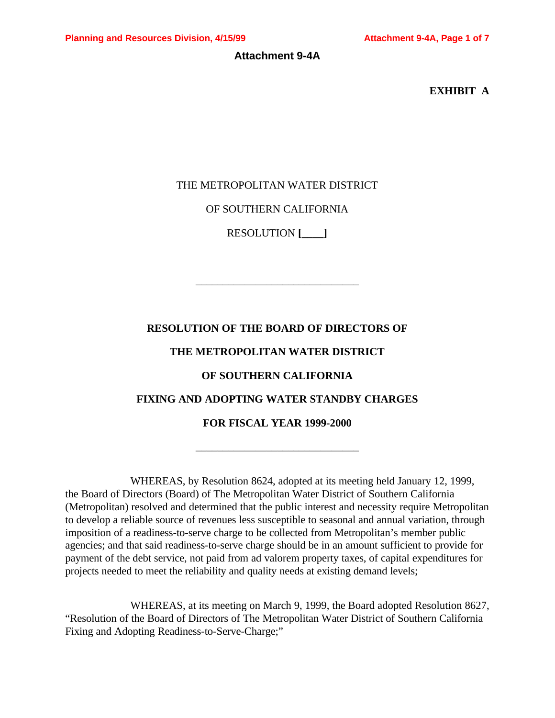#### **Attachment 9-4A**

**EXHIBIT A**

# THE METROPOLITAN WATER DISTRICT

# OF SOUTHERN CALIFORNIA

RESOLUTION **[\_\_\_\_]**

# **RESOLUTION OF THE BOARD OF DIRECTORS OF**

\_\_\_\_\_\_\_\_\_\_\_\_\_\_\_\_\_\_\_\_\_\_\_\_\_\_\_\_\_\_

# **THE METROPOLITAN WATER DISTRICT**

# **OF SOUTHERN CALIFORNIA**

#### **FIXING AND ADOPTING WATER STANDBY CHARGES**

#### **FOR FISCAL YEAR 1999-2000**

\_\_\_\_\_\_\_\_\_\_\_\_\_\_\_\_\_\_\_\_\_\_\_\_\_\_\_\_\_\_

WHEREAS, by Resolution 8624, adopted at its meeting held January 12, 1999, the Board of Directors (Board) of The Metropolitan Water District of Southern California (Metropolitan) resolved and determined that the public interest and necessity require Metropolitan to develop a reliable source of revenues less susceptible to seasonal and annual variation, through imposition of a readiness-to-serve charge to be collected from Metropolitan's member public agencies; and that said readiness-to-serve charge should be in an amount sufficient to provide for payment of the debt service, not paid from ad valorem property taxes, of capital expenditures for projects needed to meet the reliability and quality needs at existing demand levels;

WHEREAS, at its meeting on March 9, 1999, the Board adopted Resolution 8627, "Resolution of the Board of Directors of The Metropolitan Water District of Southern California Fixing and Adopting Readiness-to-Serve-Charge;"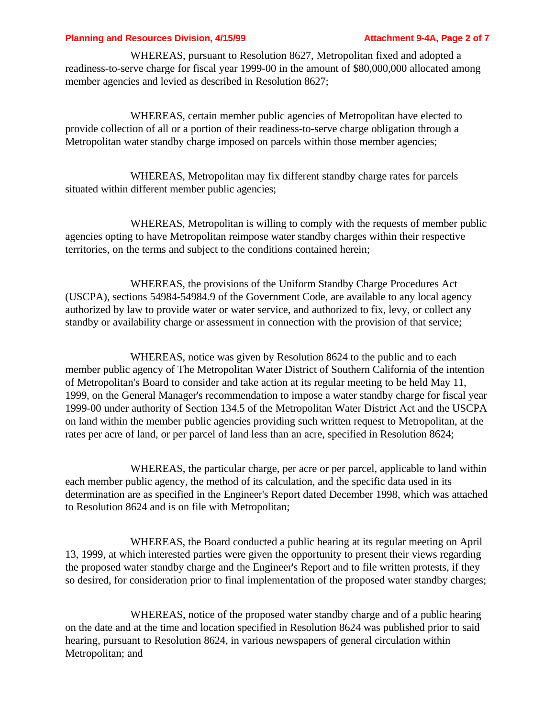#### **Planning and Resources Division, 4/15/99 <b>Attachment 9-4A, Page 2 of 7** and 7

WHEREAS, pursuant to Resolution 8627, Metropolitan fixed and adopted a readiness-to-serve charge for fiscal year 1999-00 in the amount of \$80,000,000 allocated among member agencies and levied as described in Resolution 8627;

WHEREAS, certain member public agencies of Metropolitan have elected to provide collection of all or a portion of their readiness-to-serve charge obligation through a Metropolitan water standby charge imposed on parcels within those member agencies;

WHEREAS, Metropolitan may fix different standby charge rates for parcels situated within different member public agencies;

WHEREAS, Metropolitan is willing to comply with the requests of member public agencies opting to have Metropolitan reimpose water standby charges within their respective territories, on the terms and subject to the conditions contained herein;

WHEREAS, the provisions of the Uniform Standby Charge Procedures Act (USCPA), sections 54984-54984.9 of the Government Code, are available to any local agency authorized by law to provide water or water service, and authorized to fix, levy, or collect any standby or availability charge or assessment in connection with the provision of that service;

WHEREAS, notice was given by Resolution 8624 to the public and to each member public agency of The Metropolitan Water District of Southern California of the intention of Metropolitan's Board to consider and take action at its regular meeting to be held May 11, 1999, on the General Manager's recommendation to impose a water standby charge for fiscal year 1999-00 under authority of Section 134.5 of the Metropolitan Water District Act and the USCPA on land within the member public agencies providing such written request to Metropolitan, at the rates per acre of land, or per parcel of land less than an acre, specified in Resolution 8624;

WHEREAS, the particular charge, per acre or per parcel, applicable to land within each member public agency, the method of its calculation, and the specific data used in its determination are as specified in the Engineer's Report dated December 1998, which was attached to Resolution 8624 and is on file with Metropolitan;

WHEREAS, the Board conducted a public hearing at its regular meeting on April 13, 1999, at which interested parties were given the opportunity to present their views regarding the proposed water standby charge and the Engineer's Report and to file written protests, if they so desired, for consideration prior to final implementation of the proposed water standby charges;

WHEREAS, notice of the proposed water standby charge and of a public hearing on the date and at the time and location specified in Resolution 8624 was published prior to said hearing, pursuant to Resolution 8624, in various newspapers of general circulation within Metropolitan; and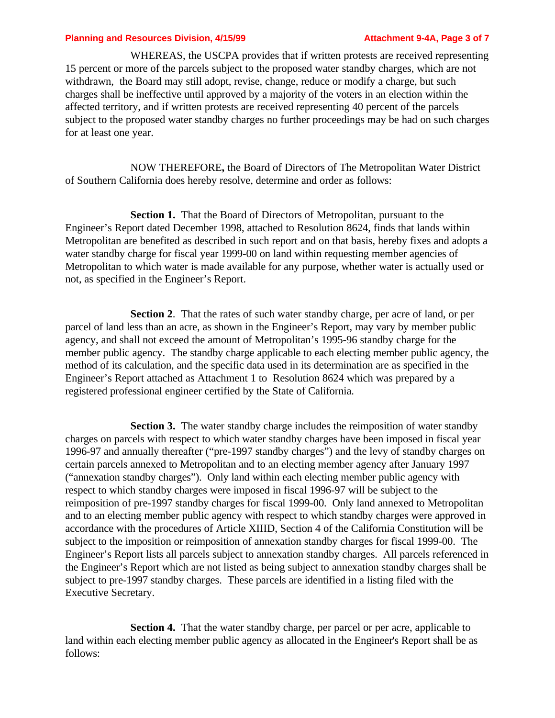#### **Planning and Resources Division, 4/15/99 <b>Attachment 9-4A, Page 3 of 7** and 7

WHEREAS, the USCPA provides that if written protests are received representing 15 percent or more of the parcels subject to the proposed water standby charges, which are not withdrawn, the Board may still adopt, revise, change, reduce or modify a charge, but such charges shall be ineffective until approved by a majority of the voters in an election within the affected territory, and if written protests are received representing 40 percent of the parcels subject to the proposed water standby charges no further proceedings may be had on such charges for at least one year.

NOW THEREFORE**,** the Board of Directors of The Metropolitan Water District of Southern California does hereby resolve, determine and order as follows:

**Section 1.** That the Board of Directors of Metropolitan, pursuant to the Engineer's Report dated December 1998, attached to Resolution 8624, finds that lands within Metropolitan are benefited as described in such report and on that basis, hereby fixes and adopts a water standby charge for fiscal year 1999-00 on land within requesting member agencies of Metropolitan to which water is made available for any purpose, whether water is actually used or not, as specified in the Engineer's Report.

**Section 2**. That the rates of such water standby charge, per acre of land, or per parcel of land less than an acre, as shown in the Engineer's Report, may vary by member public agency, and shall not exceed the amount of Metropolitan's 1995-96 standby charge for the member public agency. The standby charge applicable to each electing member public agency, the method of its calculation, and the specific data used in its determination are as specified in the Engineer's Report attached as Attachment 1 to Resolution 8624 which was prepared by a registered professional engineer certified by the State of California.

**Section 3.** The water standby charge includes the reimposition of water standby charges on parcels with respect to which water standby charges have been imposed in fiscal year 1996-97 and annually thereafter ("pre-1997 standby charges") and the levy of standby charges on certain parcels annexed to Metropolitan and to an electing member agency after January 1997 ("annexation standby charges"). Only land within each electing member public agency with respect to which standby charges were imposed in fiscal 1996-97 will be subject to the reimposition of pre-1997 standby charges for fiscal 1999-00. Only land annexed to Metropolitan and to an electing member public agency with respect to which standby charges were approved in accordance with the procedures of Article XIIID, Section 4 of the California Constitution will be subject to the imposition or reimposition of annexation standby charges for fiscal 1999-00. The Engineer's Report lists all parcels subject to annexation standby charges. All parcels referenced in the Engineer's Report which are not listed as being subject to annexation standby charges shall be subject to pre-1997 standby charges. These parcels are identified in a listing filed with the Executive Secretary.

**Section 4.** That the water standby charge, per parcel or per acre, applicable to land within each electing member public agency as allocated in the Engineer's Report shall be as follows: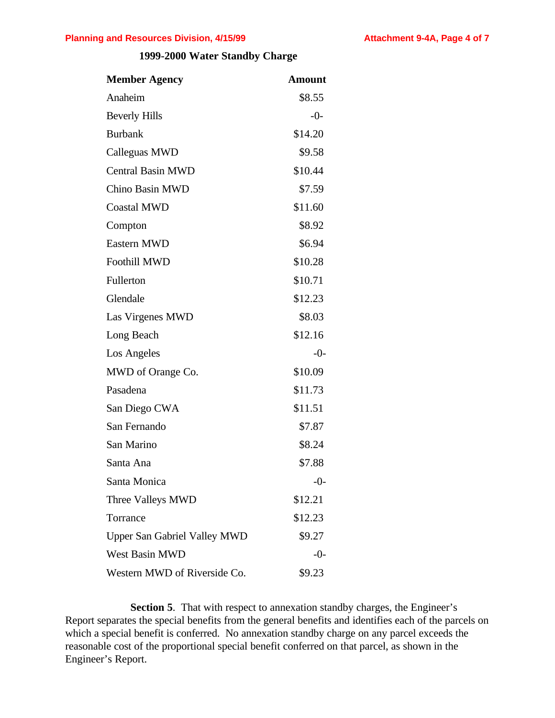#### **Planning and Resources Division, 4/15/99 <b>Attachment 9-4A, Page 4 of 7** and 7

| <b>Member Agency</b>                | <b>Amount</b> |
|-------------------------------------|---------------|
| Anaheim                             | \$8.55        |
| <b>Beverly Hills</b>                | $-0-$         |
| <b>Burbank</b>                      | \$14.20       |
| Calleguas MWD                       | \$9.58        |
| <b>Central Basin MWD</b>            | \$10.44       |
| <b>Chino Basin MWD</b>              | \$7.59        |
| <b>Coastal MWD</b>                  | \$11.60       |
| Compton                             | \$8.92        |
| Eastern MWD                         | \$6.94        |
| <b>Foothill MWD</b>                 | \$10.28       |
| Fullerton                           | \$10.71       |
| Glendale                            | \$12.23       |
| Las Virgenes MWD                    | \$8.03        |
| Long Beach                          | \$12.16       |
| Los Angeles                         | $-0-$         |
| MWD of Orange Co.                   | \$10.09       |
| Pasadena                            | \$11.73       |
| San Diego CWA                       | \$11.51       |
| San Fernando                        | \$7.87        |
| San Marino                          | \$8.24        |
| Santa Ana                           | \$7.88        |
| Santa Monica                        | $-()$ -       |
| Three Valleys MWD                   | \$12.21       |
| Torrance                            | \$12.23       |
| <b>Upper San Gabriel Valley MWD</b> | \$9.27        |
| <b>West Basin MWD</b>               | $-0-$         |
| Western MWD of Riverside Co.        | \$9.23        |

#### **1999-2000 Water Standby Charge**

Section 5. That with respect to annexation standby charges, the Engineer's Report separates the special benefits from the general benefits and identifies each of the parcels on which a special benefit is conferred. No annexation standby charge on any parcel exceeds the reasonable cost of the proportional special benefit conferred on that parcel, as shown in the Engineer's Report.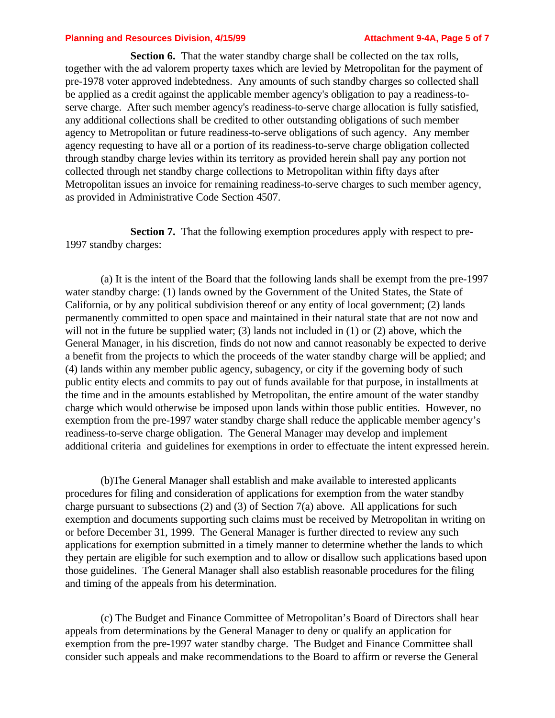#### **Planning and Resources Division, 4/15/99 Attachment 9-4A, Page 5 of 7**

**Section 6.** That the water standby charge shall be collected on the tax rolls, together with the ad valorem property taxes which are levied by Metropolitan for the payment of pre-1978 voter approved indebtedness. Any amounts of such standby charges so collected shall be applied as a credit against the applicable member agency's obligation to pay a readiness-toserve charge. After such member agency's readiness-to-serve charge allocation is fully satisfied, any additional collections shall be credited to other outstanding obligations of such member agency to Metropolitan or future readiness-to-serve obligations of such agency. Any member agency requesting to have all or a portion of its readiness-to-serve charge obligation collected through standby charge levies within its territory as provided herein shall pay any portion not collected through net standby charge collections to Metropolitan within fifty days after Metropolitan issues an invoice for remaining readiness-to-serve charges to such member agency, as provided in Administrative Code Section 4507.

**Section 7.** That the following exemption procedures apply with respect to pre-1997 standby charges:

 (a) It is the intent of the Board that the following lands shall be exempt from the pre-1997 water standby charge: (1) lands owned by the Government of the United States, the State of California, or by any political subdivision thereof or any entity of local government; (2) lands permanently committed to open space and maintained in their natural state that are not now and will not in the future be supplied water; (3) lands not included in (1) or (2) above, which the General Manager, in his discretion, finds do not now and cannot reasonably be expected to derive a benefit from the projects to which the proceeds of the water standby charge will be applied; and (4) lands within any member public agency, subagency, or city if the governing body of such public entity elects and commits to pay out of funds available for that purpose, in installments at the time and in the amounts established by Metropolitan, the entire amount of the water standby charge which would otherwise be imposed upon lands within those public entities. However, no exemption from the pre-1997 water standby charge shall reduce the applicable member agency's readiness-to-serve charge obligation. The General Manager may develop and implement additional criteria and guidelines for exemptions in order to effectuate the intent expressed herein.

 (b)The General Manager shall establish and make available to interested applicants procedures for filing and consideration of applications for exemption from the water standby charge pursuant to subsections (2) and (3) of Section 7(a) above. All applications for such exemption and documents supporting such claims must be received by Metropolitan in writing on or before December 31, 1999. The General Manager is further directed to review any such applications for exemption submitted in a timely manner to determine whether the lands to which they pertain are eligible for such exemption and to allow or disallow such applications based upon those guidelines. The General Manager shall also establish reasonable procedures for the filing and timing of the appeals from his determination.

 (c) The Budget and Finance Committee of Metropolitan's Board of Directors shall hear appeals from determinations by the General Manager to deny or qualify an application for exemption from the pre-1997 water standby charge. The Budget and Finance Committee shall consider such appeals and make recommendations to the Board to affirm or reverse the General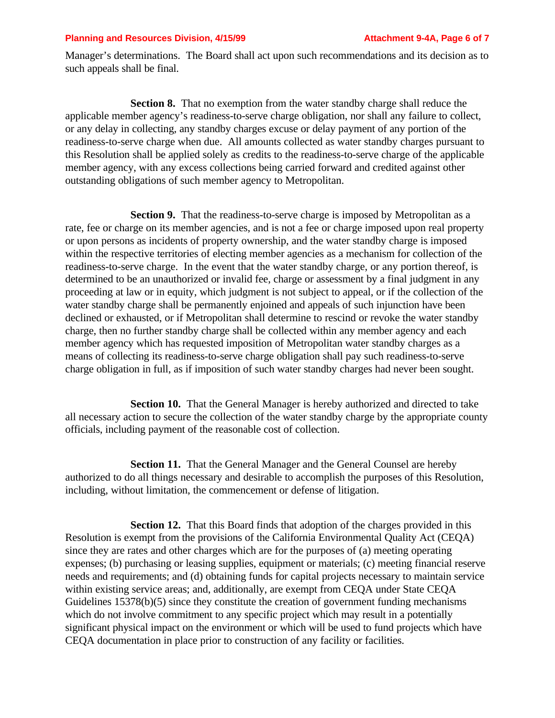#### **Planning and Resources Division, 4/15/99 <b>Attachment 9-4A, Page 6 of 7** and 7

Manager's determinations. The Board shall act upon such recommendations and its decision as to such appeals shall be final.

**Section 8.** That no exemption from the water standby charge shall reduce the applicable member agency's readiness-to-serve charge obligation, nor shall any failure to collect, or any delay in collecting, any standby charges excuse or delay payment of any portion of the readiness-to-serve charge when due. All amounts collected as water standby charges pursuant to this Resolution shall be applied solely as credits to the readiness-to-serve charge of the applicable member agency, with any excess collections being carried forward and credited against other outstanding obligations of such member agency to Metropolitan.

**Section 9.** That the readiness-to-serve charge is imposed by Metropolitan as a rate, fee or charge on its member agencies, and is not a fee or charge imposed upon real property or upon persons as incidents of property ownership, and the water standby charge is imposed within the respective territories of electing member agencies as a mechanism for collection of the readiness-to-serve charge. In the event that the water standby charge, or any portion thereof, is determined to be an unauthorized or invalid fee, charge or assessment by a final judgment in any proceeding at law or in equity, which judgment is not subject to appeal, or if the collection of the water standby charge shall be permanently enjoined and appeals of such injunction have been declined or exhausted, or if Metropolitan shall determine to rescind or revoke the water standby charge, then no further standby charge shall be collected within any member agency and each member agency which has requested imposition of Metropolitan water standby charges as a means of collecting its readiness-to-serve charge obligation shall pay such readiness-to-serve charge obligation in full, as if imposition of such water standby charges had never been sought.

Section 10. That the General Manager is hereby authorized and directed to take all necessary action to secure the collection of the water standby charge by the appropriate county officials, including payment of the reasonable cost of collection.

**Section 11.** That the General Manager and the General Counsel are hereby authorized to do all things necessary and desirable to accomplish the purposes of this Resolution, including, without limitation, the commencement or defense of litigation.

**Section 12.** That this Board finds that adoption of the charges provided in this Resolution is exempt from the provisions of the California Environmental Quality Act (CEQA) since they are rates and other charges which are for the purposes of (a) meeting operating expenses; (b) purchasing or leasing supplies, equipment or materials; (c) meeting financial reserve needs and requirements; and (d) obtaining funds for capital projects necessary to maintain service within existing service areas; and, additionally, are exempt from CEQA under State CEQA Guidelines 15378(b)(5) since they constitute the creation of government funding mechanisms which do not involve commitment to any specific project which may result in a potentially significant physical impact on the environment or which will be used to fund projects which have CEQA documentation in place prior to construction of any facility or facilities.